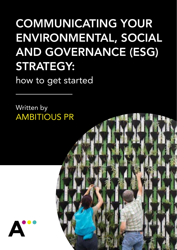## COMMUNICATING YOUR ENVIRONMENTAL, SOCIAL AND GOVERNANCE (ESG) STRATEGY:

how to get started

Written by AMBITIOUS PR

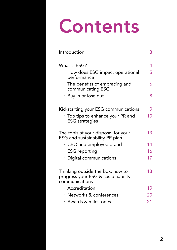# Contents

| Introduction                                                                             | 3  |
|------------------------------------------------------------------------------------------|----|
| What is ESG?                                                                             | 4  |
| · How does ESG impact operational<br>performance                                         | 5  |
| · The benefits of embracing and<br>communicating ESG                                     | 6  |
| • Buy in or lose out                                                                     | 8  |
| Kickstarting your ESG communications                                                     | 9  |
| Top tips to enhance your PR and<br><b>ESG</b> strategies                                 | 10 |
| The tools at your disposal for your<br>ESG and sustainability PR plan                    | 13 |
| $\cdot$ CEO and employee brand                                                           | 14 |
| $\cdot$ ESG reporting                                                                    | 16 |
| · Digital communications                                                                 | 17 |
| Thinking outside the box: how to<br>progress your ESG & sustainability<br>communications | 18 |
| · Accreditation                                                                          | 19 |
| · Networks & conferences                                                                 | 20 |
| · Awards & milestones                                                                    | 21 |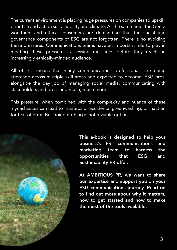The current environment is placing huge pressures on companies to upskill, prioritise and act on sustainability and climate. At the same time, the Gen-Z workforce and ethical consumers are demanding that the social and governance components of ESG are not forgotten. There is no avoiding these pressures. Communications teams have an important role to play in meeting these pressures, assessing messages before they reach an increasingly ethically-minded audience.

All of this means that many communications professionals are being stretched across multiple skill areas and expected to become 'ESG pros' alongside the day job of managing social media, communicating with stakeholders and press and much, much more.

This pressure, when combined with the complexity and nuance of these myriad issues can lead to missteps or accidental greenwashing, or inaction for fear of error. But doing nothing is not a viable option.



This e-book is designed to help your business's PR, communications and marketing team to harness the opportunities that ESG and Sustainability PR offer.

At AMBITIOUS PR, we want to share our expertise and support you on your ESG communications journey. Read on to find out more about why it matters, how to get started and how to make the most of the tools available.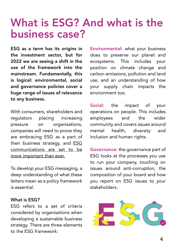### What is ESG? And what is the business case?

ESG as a term has its origins in the investment sector, but for 2022 we are seeing a shift in the use of the framework into the mainstream. Fundamentally, this is logical: environmental, social and governance policies cover a huge range of issues of relevance to any business.

With consumers, shareholders and regulators placing increasing pressure on organisations, companies will need to prove they are embracing ESG as a part of their business strategy, and **ESG** communications are set to be more important than ever.

To develop your ESG messaging, a deep understanding of what these letters mean as a policy framework is essential.

#### What is ESG?

ESG refers to a set of criteria considered by organisations when developing a sustainable business strategy. There are three elements to the ESG framework:

Environmental: what your business does to preserve our planet and ecosystems. This includes your position on climate change and carbon emissions, pollution and land use, and an understanding of how your supply chain impacts the environment too.

Social: the impact of your operations on people. This includes employees and the wider community and covers issues around mental health, diversity and inclusion and human rights.

Governance: the governance part of ESG looks at the processes you use to run your company, touching on issues around anti-corruption, the composition of your board and how you report on ESG issues to your stakeholders.

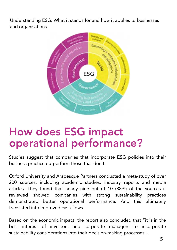Understanding ESG: What it stands for and how it applies to businesses and organisations



### How does ESG impact operational performance?

Studies suggest that companies that incorporate ESG policies into their business practice outperform those that don't.

[Oxford University and Arabesque Partners conducted a meta-study o](https://arabesque.com/research/From_the_stockholder_to_the_stakeholder_web.pdf)f over 200 sources, including academic studies, industry reports and media articles. They found that nearly nine out of 10 (88%) of the sources it reviewed showed companies with strong sustainability practices demonstrated better operational performance. And this ultimately translated into improved cash flows.

Based on the economic impact, the report also concluded that "it is in the best interest of investors and corporate managers to incorporate sustainability considerations into their decision-making processes".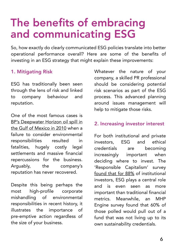### The benefits of embracing and communicating ESG

So, how exactly do clearly communicated ESG policies translate into better operational performance overall? Here are some of the benefits of investing in an ESG strategy that might explain these improvements:

### 1. Mitigating Risk

ESG has traditionally been seen through the lens of risk and linked to company behaviour and reputation.

One of the most famous cases is BP's Deepwater Horizon oil spill in [the Gulf of Mexico in 2010 when a](https://www.nationalgeographic.com/science/article/bp-oil-spill-still-dont-know-effects-decade-later)  failure to consider environmental responsibilities resulted in fatalities, hugely costly legal settlements and massive financial repercussions for the business. Arguably, the company's reputation has never recovered.

Despite this being perhaps the most high-profile corporate mishandling of environmental responsibilities in recent history, it illustrates the importance of pre-emptive action regardless of the size of your business.

Whatever the nature of your company, a skilled PR professional should be considering potential risk scenarios as part of the ESG process. This advanced planning around issues management will help to mitigate those risks.

### 2. Increasing investor interest

For both institutional and private investors, ESG and ethical credentials are becoming increasingly important when deciding where to invest. The 'Responsible Capitalism' survey [found that for 88%](https://www.institutionalassetmanager.co.uk/2021/10/28/308397/esg-factors-increasing-importance-institutional-investors) of institutional investors, ESG plays a central role and is even seen as more important than traditional financial metrics. Meanwhile, an MHP Engine survey found that 60% of those polled would pull out of a fund that was not living up to its own sustainability credentials.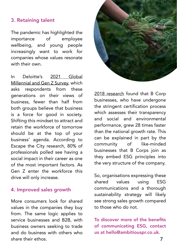#### 3. Retaining talent

The pandemic has highlighted the importance of employee wellbeing, and young people increasingly want to work for companies whose values resonate with their own.

In Deloitte's 2021 Global [Millennial and Gen Z Survey, which](https://www2.deloitte.com/content/dam/Deloitte/global/Documents/2021-deloitte-global-millennial-survey-report.pdf)  asks respondents from these generations on their views of business, fewer than half from both groups believe that business is a force for good in society. Shifting this mindset to attract and retain the workforce of tomorrow should be at the top of your business' agenda. According to Escape the City research, 80% of professionals polled see having a social impact in their career as one of the most important factors. As Gen Z enter the workforce this drive will only increase.

#### 4. Improved sales growth

More consumers look for shared values in the companies they buy from. The same logic applies to service businesses and B2B, with business owners seeking to trade and do business with others who share their ethos.



 $2018$  research fo businesses, who the stringent cer which assesses the and social and performance, gre than the national can be explained community o businesses that they embed ES the very structure

So, organisations shared values communications sustainability str see strong sales g to those who do

To discover more of communicatin us at hello@amb

7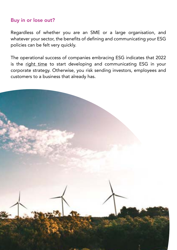### Buy in or lose out?

Regardless of whether you are an SME or a large organisation, and whatever your sector, the benefits of defining and communicating your ESG policies can be felt very quickly.

The operational success of companies embracing ESG indicates that 2022 is the [right time](https://www.ambitiouspr.co.uk/esg-and-sustainability-pr/) to start developing and communicating ESG in your corporate strategy. Otherwise, you risk sending investors, employees and customers to a business that already has.

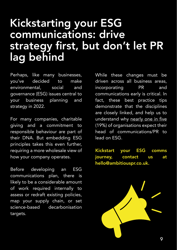### Kickstarting your ESG communications: drive strategy first, but don't let PR lag behind

Perhaps, like many businesses, you've decided to make environmental, social and governance (ESG) issues central to your business planning and strategy in 2022.

For many companies, charitable giving and a commitment to responsible behaviour are part of their DNA. But embedding ESG principles takes this even further, requiring a more wholesale view of how your company operates.

Before developing an ESG communications plan, there is likely to be a considerable amount of work required internally to assess or redraft existing policies, map your supply chain, or set science-based decarbonisation targets.

While these changes must be driven across all business areas, incorporating PR and communications early is critical. In fact, these best practice tips demonstrate that the disciplines are closely linked, and help us to understand why nearly one in five (19%) of organisations expect their head of communications/PR to lead on ESG.

Kickstart your ESG comms journey, contact us at [hello@ambitiouspr.co.uk.](mailto:hello@ambitiouspr.co.uk)

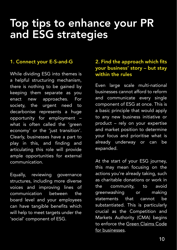### Top tips to enhance your PR and ESG strategies

While dividing ESG into themes is a helpful structuring mechanism, there is nothing to be gained by keeping them separate as you enact new approaches. For society, the urgent need to decarbonise represents a huge opportunity for employment – what is often called the 'green economy' or the 'just transition'. Clearly, businesses have a part to play in this, and finding and articulating this role will provide ample opportunities for external communication.

Equally, reviewing governance structures, including more diverse voices and improving lines of communication between the board level and your employees can have tangible benefits which will help to meet targets under the 'social' component of ESG.

#### 1. Connect your E-S-and-G 2. Find the approach which fits your business' story – but stay within the rules

Even large scale multi-national businesses cannot afford to reform and communicate every single component of ESG at once. This is a basic principle that would apply to any new business initiative or product – rely on your expertise

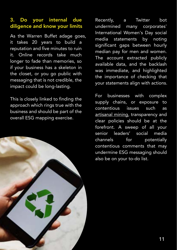### 3. Do your internal due diligence and know your limits

As the Warren Buffet adage goes, it takes 20 years to build a reputation and five minutes to ruin it. Online records take much longer to fade than memories, so if your business has a skeleton in the closet, or you go public with messaging that is not credible, the impact could be long-lasting.

This is closely linked to finding the approach which rings true with the business and should be part of the overall ESG mapping exercise.



Recently, a Twitter bot undermined many corporates' International Women's Day social media statements by noting significant gaps between hourly median pay for men and women. The account extracted publicly available data, and the backlash was immediate, and highlighted the importance of checking that your statements align with actions.

For businesses with complex supply chains, or exposure to contentious issues such as [artisanal mining,](https://www.ambitiouspr.co.uk/portfolio-item/fair-cobalt-alliance/) transparency and clear policies should be at the forefront. A sweep of all your senior leaders' social media channels for potentially contentious comments that may undermine ESG messaging should also be on your to-do list.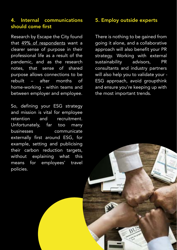#### 4. Internal communications should come first

Research by Escape the City found that [49% of respondents](https://s3.amazonaws.com/appforest_uf/f1637589354794x986183732736478200/The%20Great%20Migration%20-%20A%20report%20on%20post-pandemic%20careers%20and%20the%20future%20of%20work%20%28wecompress.com%29.pdf) want a clearer sense of purpose in their professional life as a result of the pandemic, and as the research notes, that sense of shared purpose allows connections to be rebuilt – after months of home-working - within teams and between employer and employee.

So, defining your ESG strategy and mission is vital for employee retention and recruitment. Unfortunately, far too many businesses communicate externally first around ESG, for example, setting and publicising their carbon reduction targets, without explaining what this means for employees' travel policies.

#### 5. Employ outside experts

There is nothing to be gained from going it alone, and a collaborative approach will also benefit your PR strategy. Working with external sustainability advisors, PR consultants and industry partners will also help you to validate your - ESG approach, avoid groupthink and ensure you're keeping up with the most important trends.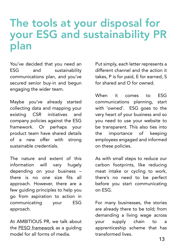### The tools at your disposal for your ESG and sustainability PR plan

You've decided that you need an ESG and sustainability communications plan, and you've secured senior buy-in and begun engaging the wider team.

Maybe you've already started collecting data and mapping your existing CSR initiatives and company policies against the ESG framework. Or perhaps your product team have shared details of a new offer with strong sustainable credentials.

The nature and extent of this information will vary hugely depending on your business – there is no one size fits all approach. However, there are a few guiding principles to help you go from aspiration to action in communicating your ESG approach.

At AMBITIOUS PR, we talk about the **PESO** framework as a quiding model for all forms of media.

Put simply, each letter represents a different channel and the action it takes, P is for paid, E for earned, S for shared and O for owned.

When it comes to ESG communications planning, start with 'owned'. ESG goes to the very heart of your business and so you need to use your website to be transparent. This also ties into the importance of keeping employees engaged and informed on these policies.

As with small steps to reduce our carbon footprints, like reducing meat intake or cycling to work, there's no need to be perfect before you start communicating on ESG.

For many businesses, the stories are already there to be told; from demanding a living wage across your supply chain to a apprenticeship scheme that has transformed lives.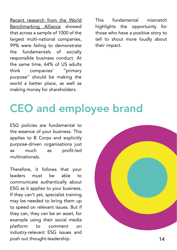[Recent research from the World](https://assets.worldbenchmarkingalliance.org/app/uploads/2022/01/2022_Social_Transformation_Baseline_Assessment_online.pdf)  Benchmarking Alliance showed that across a sample of 1000 of the largest multi-national companies, 99% were failing to demonstrate the fundamentals of socially responsible business conduct. At the same time, [64% of US adults](https://fortune.com/longform/business-roundtable-ceos-corporations-purpose/) think companies' "primary purpose" should be making the world a better place, as well as making money for shareholders.

This fundamental mismatch highlights the opportunity for those who have a positive story to tell to shout more loudly about their impact.

### CEO and employee brand

ESG policies are fundamental to the essence of your business. This applies to B Corps and explicitly purpose-driven organisations just as much as profit-led multinationals.

Therefore, it follows that your leaders must be able to communicate authentically about ESG as it applies to your business. If they can't yet, specialist training may be needed to bring them up to speed on relevant issues. But if they can, they can be an asset, for example using their social media platform to comment on industry-relevant ESG issues and push out thought-leadership. The same state of the state of the state of the state of the state of the state of the state of the state of the state of the state of the state of the state of the state of the state of the st

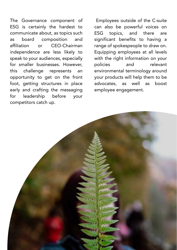The Governance component of ESG is certainly the hardest to communicate about, as topics such as board composition and affiliation or CEO-Chairman independence are less likely to speak to your audiences, especially for smaller businesses. However, this challenge represents an opportunity to get on the front foot, getting structures in place early and crafting the messaging for leadership before your competitors catch up.

 Employees outside of the C-suite can also be powerful voices on ESG topics, and there are significant benefits to having a range of spokespeople to draw on. Equipping employees at all levels with the right information on your policies and relevant environmental terminology around your products will help them to be advocates, as well as boost employee engagement.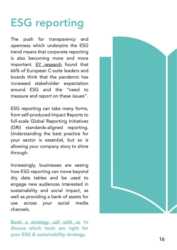## ESG reporting

The push for transparency and openness which underpins the ESG trend means that corporate reporting is also becoming more and more important. [EY research](https://www.ey.com/en_uk/long-term-value/sustainable-corporate-governance) found that 66% of European C-suite leaders and boards think that the pandemic has increased stakeholder expectation around ESG and the "need to measure and report on these issues".

ESG reporting can take many forms, from self-produced Impact Reports to full-scale Global Reporting Initiatives (GRI) standards-aligned reporting. Understanding the best practice for your sector is essential, but so is allowing your company story to shine through.

Increasingly, businesses are seeing how ESG reporting can move beyond dry data tables and be used to

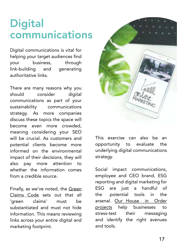### **Digital** communications

Digital communications is vital for helping your target audiences find your business, through link-building and generating authoritative links.

There are many reasons why you should consider digital communications as part of your sustainability communications strategy. As more companies discuss these topics the space will become even more crowded, meaning considering your SEO will be crucial. As customers and potential clients become more informed on the environmental impact of their decisions, they will also pay more attention to whether the information comes from a credible source.

[Finally, as we've noted, the Green](https://greenclaims.campaign.gov.uk/)  Claims Code sets out that all 'green claims' must be substantiated and must not hide information. This means reviewing links across your entire digital and marketing footprint.



This exercise can also be an opportunity to evaluate the underlying digital communications strategy.

Social impact communications, employee and CEO brand, ESG reporting and digital marketing for ESG are just a handful of the potential tools in the [arsenal. Our House in Order](https://www.ambitiouspr.co.uk/esg-and-sustainability-pr/)  projects help businesses to stress-test their messaging and identify the right avenues and tools.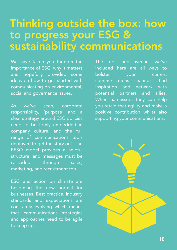### Thinking outside the box: how to progress your ESG & sustainability communications

We have taken you through the importance of ESG, why it matters and hopefully provided some ideas on how to get started with communicating on environmental, social and governance issues.

As we've seen, corporate responsibility, 'purpose' and a clear strategy around ESG policies need to be firmly embedded in company culture, and the full range of communications tools deployed to get the story out. The PESO model provides a helpful structure, and messages must be cascaded through sales, marketing, and recruitment too.

ESG and action on climate are becoming the new normal for businesses. Best practice, industry standards and expectations are constantly evolving which means that communications strategies and approaches need to be agile to keep up.

The tools and avenues we've included here are all ways to bolster your current communications channels, find inspiration and network with potential partners and allies. When harnessed, they can help you retain that agility and make a positive contribution whilst also supporting your communications.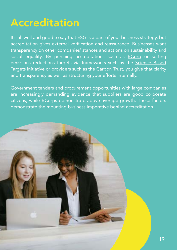### Accreditation

It's all well and good to say that ESG is a part of your business strategy, but accreditation gives external verification and reassurance. Businesses want transparency on other companies' stances and actions on sustainability and social equality. By pursuing accreditations such as [BCorp](https://www.bcorporation.net/en-us/) or setting emissions reductions targets via frameworks such as the [Science Based](https://sciencebasedtargets.org/)  [Targets Initiative](https://sciencebasedtargets.org/) or providers such as the [Carbon Trust,](https://www.carbontrust.com/) you give that clarity and transparency as well as structuring your efforts internally.

Government tenders and procurement opportunities with large companies are increasingly demanding evidence that suppliers are good corporate citizens, while BCorps demonstrate above-average growth. These factors demonstrate the mounting business imperative behind accreditation.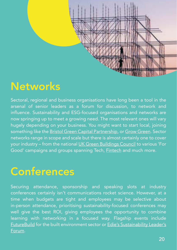

### **Networks**

Sectoral, regional and business organisations have long been a tool in the arsenal of senior leaders as a forum for discussion, to network and influence. Sustainability and ESG-focused organisations and networks are now springing up to meet a growing need. The most relevant ones will vary hugely depending on your business. You might want to start local, joining something like the [Bristol Green Capital Partnership,](https://bristolgreencapital.org/who-we-are/) or [Grow Green.](http://growgreensw.co.uk/about/) Sector networks range in scope and scale but there is almost certainly one to cover your industry – from the national [UK Green Buildings Council](https://www.ukgbc.org/) to various 'For Good' campaigns and groups spanning Tech, [Fintech](http://www.fintechforgood.com/index.html) and much more.

### **Conferences**

Securing attendance, sponsorship and speaking slots at industry conferences certainly isn't communications rocket science. However, at a time when budgets are tight and employees may be selective about in-person attendance, prioritising sustainability-focused conferences may well give the best ROI, giving employees the opportunity to combine learning with networking in a focused way. Flagship events include [FutureBuild](https://www.futurebuild.co.uk/) for the built environment sector or [Edie's Sustainability Leader's](https://event.edie.net/forum/%5d)  [Forum.](https://event.edie.net/forum/%5d)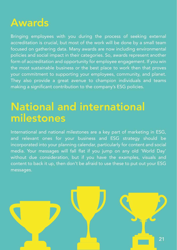### Awards

Bringing employees with you during the process of seeking external accreditation is crucial, but most of the work will be done by a small team focused on gathering data. Many awards are now including environmental policies and social impact in their categories. So, awards represent another form of accreditation and opportunity for employee engagement. If you win the most sustainable business or the best place to work then that proves your commitment to supporting your employees, community, and planet. They also provide a great avenue to champion individuals and teams making a significant contribution to the company's ESG policies.

### National and international milestones

International and national milestones are a key part of marketing in ESG, and relevant ones for your business and ESG strategy should be incorporated into your planning calendar, particularly for content and social media. Your messages will fall flat if you jump on any old 'World Day' without due consideration, but if you have the examples, visuals and content to back it up, then don't be afraid to use these to put out your ESG messages.